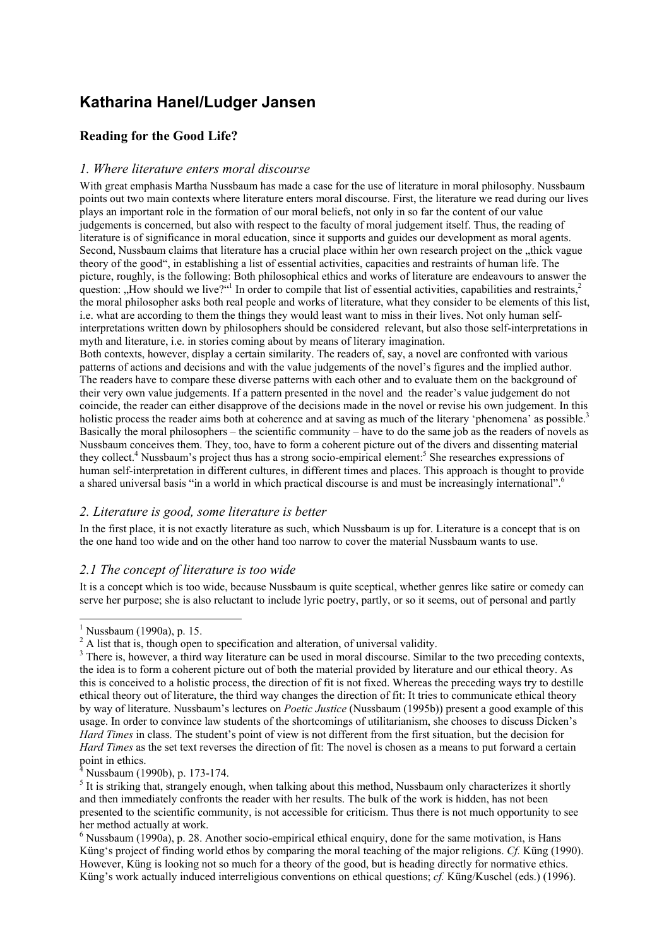# **Katharina Hanel/Ludger Jansen**

## **Reading for the Good Life?**

## *1. Where literature enters moral discourse*

With great emphasis Martha Nussbaum has made a case for the use of literature in moral philosophy. Nussbaum points out two main contexts where literature enters moral discourse. First, the literature we read during our lives plays an important role in the formation of our moral beliefs, not only in so far the content of our value judgements is concerned, but also with respect to the faculty of moral judgement itself. Thus, the reading of literature is of significance in moral education, since it supports and guides our development as moral agents. Second, Nussbaum claims that literature has a crucial place within her own research project on the "thick vague theory of the good", in establishing a list of essential activities, capacities and restraints of human life. The picture, roughly, is the following: Both philosophical ethics and works of literature are endeavours to answer the question: "How should we live?"<sup>1</sup> In order to compile that list of essential activities, capabilities and restraints,<sup>2</sup> the moral philosopher asks both real people and works of literature, what they consider to be elements of this list, i.e. what are according to them the things they would least want to miss in their lives. Not only human selfinterpretations written down by philosophers should be considered relevant, but also those self-interpretations in myth and literature, i.e. in stories coming about by means of literary imagination.

Both contexts, however, display a certain similarity. The readers of, say, a novel are confronted with various patterns of actions and decisions and with the value judgements of the novel's figures and the implied author. The readers have to compare these diverse patterns with each other and to evaluate them on the background of their very own value judgements. If a pattern presented in the novel and the reader's value judgement do not coincide, the reader can either disapprove of the decisions made in the novel or revise his own judgement. In this holistic process the reader aims both at coherence and at saving as much of the literary 'phenomena' as possible.<sup>3</sup> Basically the moral philosophers – the scientific community – have to do the same job as the readers of novels as Nussbaum conceives them. They, too, have to form a coherent picture out of the divers and dissenting material they collect.<sup>4</sup> Nussbaum's project thus has a strong socio-empirical element:<sup>5</sup> She researches expressions of human self-interpretation in different cultures, in different times and places. This approach is thought to provide a shared universal basis "in a world in which practical discourse is and must be increasingly international".6

## *2. Literature is good, some literature is better*

In the first place, it is not exactly literature as such, which Nussbaum is up for. Literature is a concept that is on the one hand too wide and on the other hand too narrow to cover the material Nussbaum wants to use.

## *2.1 The concept of literature is too wide*

It is a concept which is too wide, because Nussbaum is quite sceptical, whether genres like satire or comedy can serve her purpose; she is also reluctant to include lyric poetry, partly, or so it seems, out of personal and partly

-

<sup>1</sup> Nussbaum (1990a), p. 15.

 $2$  A list that is, though open to specification and alteration, of universal validity.

<sup>&</sup>lt;sup>3</sup> There is, however, a third way literature can be used in moral discourse. Similar to the two preceding contexts, the idea is to form a coherent picture out of both the material provided by literature and our ethical theory. As this is conceived to a holistic process, the direction of fit is not fixed. Whereas the preceding ways try to destille ethical theory out of literature, the third way changes the direction of fit: It tries to communicate ethical theory by way of literature. Nussbaum's lectures on *Poetic Justice* (Nussbaum (1995b)) present a good example of this usage. In order to convince law students of the shortcomings of utilitarianism, she chooses to discuss Dicken's *Hard Times* in class. The student's point of view is not different from the first situation, but the decision for *Hard Times* as the set text reverses the direction of fit: The novel is chosen as a means to put forward a certain point in ethics.

<sup>&</sup>lt;sup>4</sup> Nussbaum (1990b), p. 173-174.

 $<sup>5</sup>$  It is striking that, strangely enough, when talking about this method, Nussbaum only characterizes it shortly</sup> and then immediately confronts the reader with her results. The bulk of the work is hidden, has not been presented to the scientific community, is not accessible for criticism. Thus there is not much opportunity to see her method actually at work.

 $6$  Nussbaum (1990a), p. 28. Another socio-empirical ethical enquiry, done for the same motivation, is Hans Küng's project of finding world ethos by comparing the moral teaching of the major religions. *Cf.* Küng (1990). However, Küng is looking not so much for a theory of the good, but is heading directly for normative ethics. Küng's work actually induced interreligious conventions on ethical questions; *cf.* Küng/Kuschel (eds.) (1996).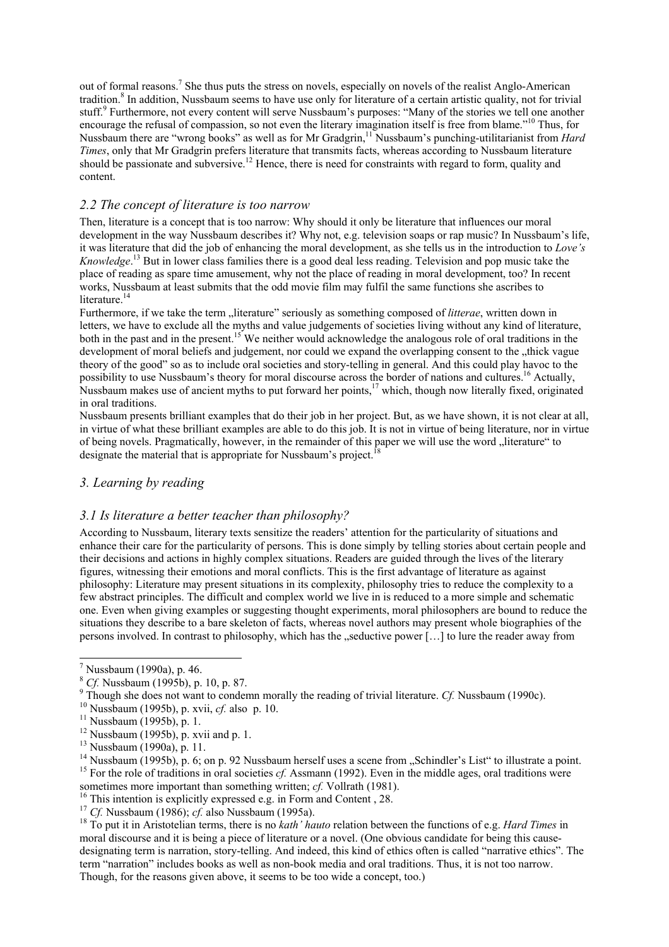out of formal reasons.<sup>7</sup> She thus puts the stress on novels, especially on novels of the realist Anglo-American tradition.<sup>8</sup> In addition, Nussbaum seems to have use only for literature of a certain artistic quality, not for trivial stuff.<sup>9</sup> Furthermore, not every content will serve Nussbaum's purposes: "Many of the stories we tell one another encourage the refusal of compassion, so not even the literary imagination itself is free from blame."10 Thus, for Nussbaum there are "wrong books" as well as for Mr Gradgrin,<sup>11</sup> Nussbaum's punching-utilitarianist from *Hard Times*, only that Mr Gradgrin prefers literature that transmits facts, whereas according to Nussbaum literature should be passionate and subversive.<sup>12</sup> Hence, there is need for constraints with regard to form, quality and content.

#### *2.2 The concept of literature is too narrow*

Then, literature is a concept that is too narrow: Why should it only be literature that influences our moral development in the way Nussbaum describes it? Why not, e.g. television soaps or rap music? In Nussbaum's life, it was literature that did the job of enhancing the moral development, as she tells us in the introduction to *Love's Knowledge*. 13 But in lower class families there is a good deal less reading. Television and pop music take the place of reading as spare time amusement, why not the place of reading in moral development, too? In recent works, Nussbaum at least submits that the odd movie film may fulfil the same functions she ascribes to literature.<sup>14</sup>

Furthermore, if we take the term "literature" seriously as something composed of *litterae*, written down in letters, we have to exclude all the myths and value judgements of societies living without any kind of literature, both in the past and in the present.<sup>15</sup> We neither would acknowledge the analogous role of oral traditions in the development of moral beliefs and judgement, nor could we expand the overlapping consent to the "thick vague" theory of the good" so as to include oral societies and story-telling in general. And this could play havoc to the possibility to use Nussbaum's theory for moral discourse across the border of nations and cultures.16 Actually, Nussbaum makes use of ancient myths to put forward her points,<sup>17</sup> which, though now literally fixed, originated in oral traditions.

Nussbaum presents brilliant examples that do their job in her project. But, as we have shown, it is not clear at all, in virtue of what these brilliant examples are able to do this job. It is not in virtue of being literature, nor in virtue of being novels. Pragmatically, however, in the remainder of this paper we will use the word "literature" to designate the material that is appropriate for Nussbaum's project.

## *3. Learning by reading*

#### *3.1 Is literature a better teacher than philosophy?*

According to Nussbaum, literary texts sensitize the readers' attention for the particularity of situations and enhance their care for the particularity of persons. This is done simply by telling stories about certain people and their decisions and actions in highly complex situations. Readers are guided through the lives of the literary figures, witnessing their emotions and moral conflicts. This is the first advantage of literature as against philosophy: Literature may present situations in its complexity, philosophy tries to reduce the complexity to a few abstract principles. The difficult and complex world we live in is reduced to a more simple and schematic one. Even when giving examples or suggesting thought experiments, moral philosophers are bound to reduce the situations they describe to a bare skeleton of facts, whereas novel authors may present whole biographies of the persons involved. In contrast to philosophy, which has the  $\mathcal{L}$  seductive power  $[\ldots]$  to lure the reader away from

-

sometimes more important than something written; *cf.* Vollrath (1981).<br><sup>16</sup> This intention is explicitly expressed e.g. in Form and Content , 28.<br><sup>17</sup> Cf. Nussbaum (1986); *cf.* also Nussbaum (1995a).

<sup>18</sup> To put it in Aristotelian terms, there is no *kath' hauto* relation between the functions of e.g. *Hard Times* in moral discourse and it is being a piece of literature or a novel. (One obvious candidate for being this causedesignating term is narration, story-telling. And indeed, this kind of ethics often is called "narrative ethics". The term "narration" includes books as well as non-book media and oral traditions. Thus, it is not too narrow. Though, for the reasons given above, it seems to be too wide a concept, too.)

 $^7$  Nussbaum (1990a), p. 46.

<sup>&</sup>lt;sup>8</sup> *Cf.* Nussbaum (1995b), p. 10, p. 87.

<sup>&</sup>lt;sup>9</sup> Though she does not want to condemn morally the reading of trivial literature. *Cf.* Nussbaum (1990c). <sup>10</sup> Nussbaum (1995b), p. xvii, *cf.* also p. 10. <sup>11</sup> Nussbaum (1995b), p. 1.

<sup>&</sup>lt;sup>12</sup> Nussbaum (1995b), p. xvii and p. 1.

<sup>&</sup>lt;sup>13</sup> Nussbaum (1990a), p. 11.<br><sup>14</sup> Nussbaum (1995b), p. 6; on p. 92 Nussbaum herself uses a scene from "Schindler's List" to illustrate a point. <sup>15</sup> For the role of traditions in oral societies  $cf$ . Assmann (1992). Even in the middle ages, oral traditions were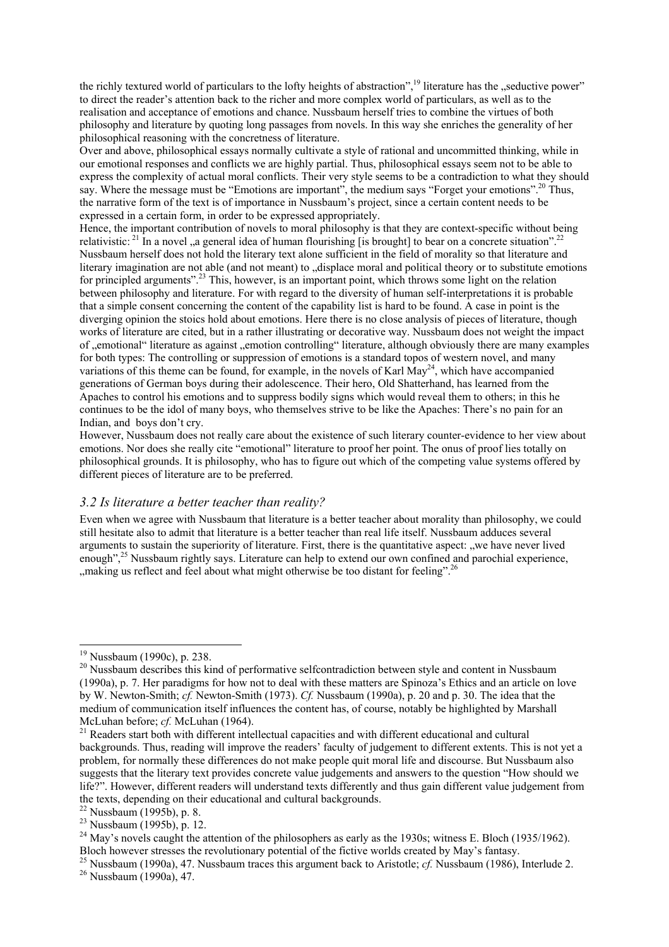the richly textured world of particulars to the lofty heights of abstraction",<sup>19</sup> literature has the "seductive power" to direct the reader's attention back to the richer and more complex world of particulars, as well as to the realisation and acceptance of emotions and chance. Nussbaum herself tries to combine the virtues of both philosophy and literature by quoting long passages from novels. In this way she enriches the generality of her philosophical reasoning with the concretness of literature.

Over and above, philosophical essays normally cultivate a style of rational and uncommitted thinking, while in our emotional responses and conflicts we are highly partial. Thus, philosophical essays seem not to be able to express the complexity of actual moral conflicts. Their very style seems to be a contradiction to what they should say. Where the message must be "Emotions are important", the medium says "Forget your emotions".<sup>20</sup> Thus, the narrative form of the text is of importance in Nussbaum's project, since a certain content needs to be expressed in a certain form, in order to be expressed appropriately.

Hence, the important contribution of novels to moral philosophy is that they are context-specific without being relativistic:  $21 \text{ In a novel}$ , a general idea of human flourishing [is brought] to bear on a concrete situation". Nussbaum herself does not hold the literary text alone sufficient in the field of morality so that literature and literary imagination are not able (and not meant) to "displace moral and political theory or to substitute emotions for principled arguments".<sup>23</sup> This, however, is an important point, which throws some light on the relation between philosophy and literature. For with regard to the diversity of human self-interpretations it is probable that a simple consent concerning the content of the capability list is hard to be found. A case in point is the diverging opinion the stoics hold about emotions. Here there is no close analysis of pieces of literature, though works of literature are cited, but in a rather illustrating or decorative way. Nussbaum does not weight the impact of ..emotional literature as against ..emotion controlling literature, although obviously there are many examples for both types: The controlling or suppression of emotions is a standard topos of western novel, and many variations of this theme can be found, for example, in the novels of Karl  $\text{May}^{24}$ , which have accompanied generations of German boys during their adolescence. Their hero, Old Shatterhand, has learned from the Apaches to control his emotions and to suppress bodily signs which would reveal them to others; in this he continues to be the idol of many boys, who themselves strive to be like the Apaches: There's no pain for an Indian, and boys don't cry.

However, Nussbaum does not really care about the existence of such literary counter-evidence to her view about emotions. Nor does she really cite "emotional" literature to proof her point. The onus of proof lies totally on philosophical grounds. It is philosophy, who has to figure out which of the competing value systems offered by different pieces of literature are to be preferred.

#### *3.2 Is literature a better teacher than reality?*

Even when we agree with Nussbaum that literature is a better teacher about morality than philosophy, we could still hesitate also to admit that literature is a better teacher than real life itself. Nussbaum adduces several arguments to sustain the superiority of literature. First, there is the quantitative aspect: "we have never lived enough",<sup>25</sup> Nussbaum rightly says. Literature can help to extend our own confined and parochial experience,  $\ldots$  making us reflect and feel about what might otherwise be too distant for feeling".<sup>26</sup>

-

<sup>&</sup>lt;sup>19</sup> Nussbaum (1990c), p. 238.

<sup>&</sup>lt;sup>20</sup> Nussbaum describes this kind of performative selfcontradiction between style and content in Nussbaum (1990a), p. 7. Her paradigms for how not to deal with these matters are Spinoza's Ethics and an article on love by W. Newton-Smith; *cf.* Newton-Smith (1973). *Cf.* Nussbaum (1990a), p. 20 and p. 30. The idea that the medium of communication itself influences the content has, of course, notably be highlighted by Marshall McLuhan before; cf. McLuhan (1964).

<sup>&</sup>lt;sup>21</sup> Readers start both with different intellectual capacities and with different educational and cultural backgrounds. Thus, reading will improve the readers' faculty of judgement to different extents. This is not yet a problem, for normally these differences do not make people quit moral life and discourse. But Nussbaum also suggests that the literary text provides concrete value judgements and answers to the question "How should we life?". However, different readers will understand texts differently and thus gain different value judgement from the texts, depending on their educational and cultural backgrounds.

 $22$  Nussbaum (1995b), p. 8.

<sup>23</sup> Nussbaum (1995b), p. 12.

<sup>&</sup>lt;sup>24</sup> May's novels caught the attention of the philosophers as early as the 1930s; witness E. Bloch (1935/1962).<br>Bloch however stresses the revolutionary potential of the fictive worlds created by May's fantasy.

<sup>&</sup>lt;sup>25</sup> Nussbaum (1990a), 47. Nussbaum traces this argument back to Aristotle; *cf*. Nussbaum (1986), Interlude 2.<br><sup>26</sup> Nussbaum (1990a), 47.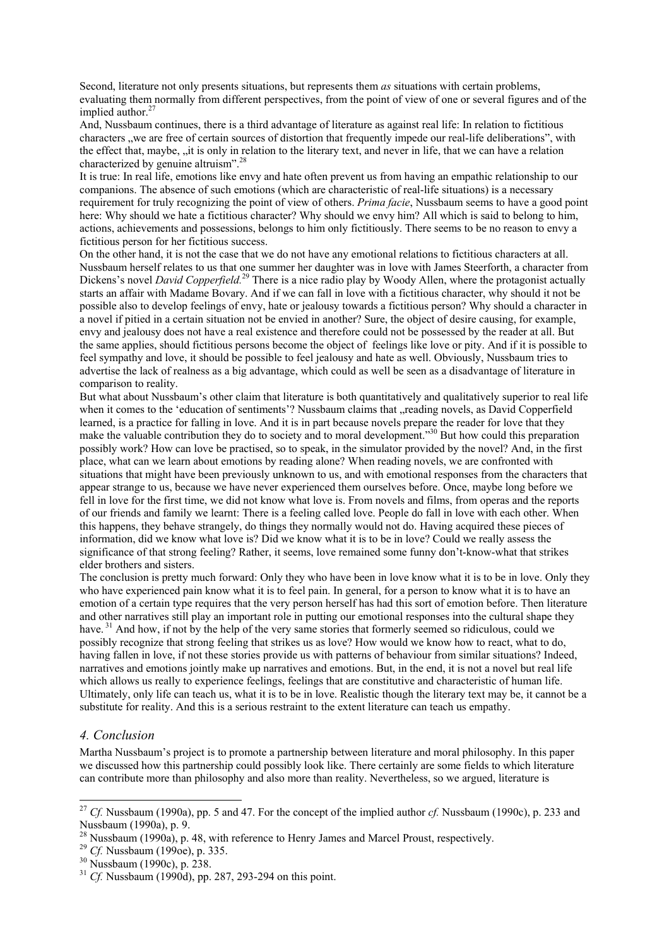Second, literature not only presents situations, but represents them *as* situations with certain problems, evaluating them normally from different perspectives, from the point of view of one or several figures and of the implied author. $27$ 

And, Nussbaum continues, there is a third advantage of literature as against real life: In relation to fictitious characters "we are free of certain sources of distortion that frequently impede our real-life deliberations", with the effect that, maybe, "it is only in relation to the literary text, and never in life, that we can have a relation characterized by genuine altruism".<sup>28</sup>

It is true: In real life, emotions like envy and hate often prevent us from having an empathic relationship to our companions. The absence of such emotions (which are characteristic of real-life situations) is a necessary requirement for truly recognizing the point of view of others. *Prima facie*, Nussbaum seems to have a good point here: Why should we hate a fictitious character? Why should we envy him? All which is said to belong to him, actions, achievements and possessions, belongs to him only fictitiously. There seems to be no reason to envy a fictitious person for her fictitious success.

On the other hand, it is not the case that we do not have any emotional relations to fictitious characters at all. Nussbaum herself relates to us that one summer her daughter was in love with James Steerforth, a character from Dickens's novel *David Copperfield*.<sup>29</sup> There is a nice radio play by Woody Allen, where the protagonist actually starts an affair with Madame Bovary. And if we can fall in love with a fictitious character, why should it not be possible also to develop feelings of envy, hate or jealousy towards a fictitious person? Why should a character in a novel if pitied in a certain situation not be envied in another? Sure, the object of desire causing, for example, envy and jealousy does not have a real existence and therefore could not be possessed by the reader at all. But the same applies, should fictitious persons become the object of feelings like love or pity. And if it is possible to feel sympathy and love, it should be possible to feel jealousy and hate as well. Obviously, Nussbaum tries to advertise the lack of realness as a big advantage, which could as well be seen as a disadvantage of literature in comparison to reality.

But what about Nussbaum's other claim that literature is both quantitatively and qualitatively superior to real life when it comes to the 'education of sentiments'? Nussbaum claims that "reading novels, as David Copperfield learned, is a practice for falling in love. And it is in part because novels prepare the reader for love that they make the valuable contribution they do to society and to moral development."30 But how could this preparation possibly work? How can love be practised, so to speak, in the simulator provided by the novel? And, in the first place, what can we learn about emotions by reading alone? When reading novels, we are confronted with situations that might have been previously unknown to us, and with emotional responses from the characters that appear strange to us, because we have never experienced them ourselves before. Once, maybe long before we fell in love for the first time, we did not know what love is. From novels and films, from operas and the reports of our friends and family we learnt: There is a feeling called love. People do fall in love with each other. When this happens, they behave strangely, do things they normally would not do. Having acquired these pieces of information, did we know what love is? Did we know what it is to be in love? Could we really assess the significance of that strong feeling? Rather, it seems, love remained some funny don't-know-what that strikes elder brothers and sisters.

The conclusion is pretty much forward: Only they who have been in love know what it is to be in love. Only they who have experienced pain know what it is to feel pain. In general, for a person to know what it is to have an emotion of a certain type requires that the very person herself has had this sort of emotion before. Then literature and other narratives still play an important role in putting our emotional responses into the cultural shape they have.<sup>31</sup> And how, if not by the help of the very same stories that formerly seemed so ridiculous, could we possibly recognize that strong feeling that strikes us as love? How would we know how to react, what to do, having fallen in love, if not these stories provide us with patterns of behaviour from similar situations? Indeed, narratives and emotions jointly make up narratives and emotions. But, in the end, it is not a novel but real life which allows us really to experience feelings, feelings that are constitutive and characteristic of human life. Ultimately, only life can teach us, what it is to be in love. Realistic though the literary text may be, it cannot be a substitute for reality. And this is a serious restraint to the extent literature can teach us empathy.

#### *4. Conclusion*

 $\overline{\phantom{a}}$ 

Martha Nussbaum's project is to promote a partnership between literature and moral philosophy. In this paper we discussed how this partnership could possibly look like. There certainly are some fields to which literature can contribute more than philosophy and also more than reality. Nevertheless, so we argued, literature is

<sup>27</sup> *Cf.* Nussbaum (1990a), pp. 5 and 47. For the concept of the implied author *cf.* Nussbaum (1990c), p. 233 and Nussbaum (1990a), p. 9.

<sup>28</sup> Nussbaum (1990a), p. 48, with reference to Henry James and Marcel Proust, respectively.

<sup>&</sup>lt;sup>29</sup> *Cf.* Nussbaum (1990e), p. 335.<br><sup>30</sup> Nussbaum (1990c), p. 238.

<sup>31</sup> *Cf.* Nussbaum (1990d), pp. 287, 293-294 on this point.